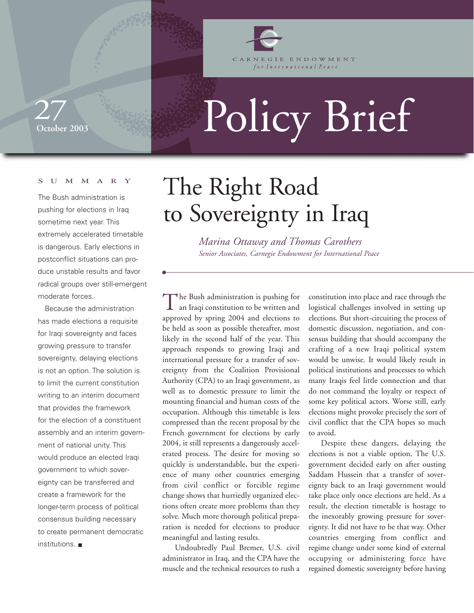

CARNEGIE ENDOWMENT for International Peace

## **October 2003** 27

# Policy Brief

#### SUMMARY

The Bush administration is pushing for elections in Iraq sometime next year. This extremely accelerated timetable is dangerous. Early elections in postconflict situations can produce unstable results and favor radical groups over still-emergent moderate forces.

Because the administration has made elections a requisite for Iraqi sovereignty and faces growing pressure to transfer sovereignty, delaying elections is not an option. The solution is to limit the current constitution writing to an interim document that provides the framework for the election of a constituent assembly and an interim government of national unity. This would produce an elected Iraqi government to which sovereignty can be transferred and create a framework for the longer-term process of political consensus building necessary to create permanent democratic institutions. ■

## The Right Road to Sovereignty in Iraq

*Marina Ottaway and Thomas Carothers Senior Associates, Carnegie Endowment for International Peace* 

The Bush administration is pushing for an Iraqi constitution to be written and approved by spring 2004 and elections to be held as soon as possible thereafter, most likely in the second half of the year. This approach responds to growing Iraqi and international pressure for a transfer of sovereignty from the Coalition Provisional Authority (CPA) to an Iraqi government, as well as to domestic pressure to limit the mounting financial and human costs of the occupation. Although this timetable is less compressed than the recent proposal by the French government for elections by early 2004, it still represents a dangerously accelerated process. The desire for moving so quickly is understandable, but the experience of many other countries emerging from civil conflict or forcible regime change shows that hurriedly organized elections often create more problems than they solve. Much more thorough political preparation is needed for elections to produce meaningful and lasting results.

Undoubtedly Paul Bremer, U.S. civil administrator in Iraq, and the CPA have the muscle and the technical resources to rush a

constitution into place and race through the logistical challenges involved in setting up elections. But short-circuiting the process of domestic discussion, negotiation, and consensus building that should accompany the crafting of a new Iraqi political system would be unwise. It would likely result in political institutions and processes to which many Iraqis feel little connection and that do not command the loyalty or respect of some key political actors. Worse still, early elections might provoke precisely the sort of civil conflict that the CPA hopes so much to avoid.

Despite these dangers, delaying the elections is not a viable option. The U.S. government decided early on after ousting Saddam Hussein that a transfer of sovereignty back to an Iraqi government would take place only once elections are held. As a result, the election timetable is hostage to the inexorably growing pressure for sovereignty. It did not have to be that way. Other countries emerging from conflict and regime change under some kind of external occupying or administering force have regained domestic sovereignty before having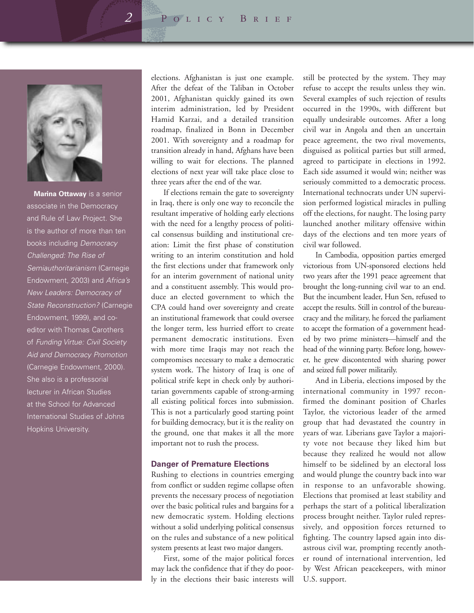*2* Policy Brief



**Marina Ottaway** is a senior associate in the Democracy and Rule of Law Project. She is the author of more than ten books including *Democracy Challenged: The Rise of Semiauthoritarianism* (Carnegie Endowment, 2003) and *Africa's New Leaders: Democracy of State Reconstruction?* (Carnegie Endowment, 1999), and coeditor with Thomas Carothers of *Funding Virtue: Civil Society Aid and Democracy Promotion* (Carnegie Endowment, 2000). She also is a professorial lecturer in African Studies at the School for Advanced International Studies of Johns Hopkins University.

elections. Afghanistan is just one example. After the defeat of the Taliban in October 2001, Afghanistan quickly gained its own interim administration, led by President Hamid Karzai, and a detailed transition roadmap, finalized in Bonn in December 2001. With sovereignty and a roadmap for transition already in hand, Afghans have been willing to wait for elections. The planned elections of next year will take place close to three years after the end of the war.

If elections remain the gate to sovereignty in Iraq, there is only one way to reconcile the resultant imperative of holding early elections with the need for a lengthy process of political consensus building and institutional creation: Limit the first phase of constitution writing to an interim constitution and hold the first elections under that framework only for an interim government of national unity and a constituent assembly. This would produce an elected government to which the CPA could hand over sovereignty and create an institutional framework that could oversee the longer term, less hurried effort to create permanent democratic institutions. Even with more time Iraqis may not reach the compromises necessary to make a democratic system work. The history of Iraq is one of political strife kept in check only by authoritarian governments capable of strong-arming all existing political forces into submission. This is not a particularly good starting point for building democracy, but it is the reality on the ground, one that makes it all the more important not to rush the process.

#### **Danger of Premature Elections**

Rushing to elections in countries emerging from conflict or sudden regime collapse often prevents the necessary process of negotiation over the basic political rules and bargains for a new democratic system. Holding elections without a solid underlying political consensus on the rules and substance of a new political system presents at least two major dangers.

First, some of the major political forces may lack the confidence that if they do poorly in the elections their basic interests will

still be protected by the system. They may refuse to accept the results unless they win. Several examples of such rejection of results occurred in the 1990s, with different but equally undesirable outcomes. After a long civil war in Angola and then an uncertain peace agreement, the two rival movements, disguised as political parties but still armed, agreed to participate in elections in 1992. Each side assumed it would win; neither was seriously committed to a democratic process. International technocrats under UN supervision performed logistical miracles in pulling off the elections, for naught. The losing party launched another military offensive within days of the elections and ten more years of civil war followed.

In Cambodia, opposition parties emerged victorious from UN-sponsored elections held two years after the 1991 peace agreement that brought the long-running civil war to an end. But the incumbent leader, Hun Sen, refused to accept the results. Still in control of the bureaucracy and the military, he forced the parliament to accept the formation of a government headed by two prime ministers—himself and the head of the winning party. Before long, however, he grew discontented with sharing power and seized full power militarily.

And in Liberia, elections imposed by the international community in 1997 reconfirmed the dominant position of Charles Taylor, the victorious leader of the armed group that had devastated the country in years of war. Liberians gave Taylor a majority vote not because they liked him but because they realized he would not allow himself to be sidelined by an electoral loss and would plunge the country back into war in response to an unfavorable showing. Elections that promised at least stability and perhaps the start of a political liberalization process brought neither. Taylor ruled repressively, and opposition forces returned to fighting. The country lapsed again into disastrous civil war, prompting recently another round of international intervention, led by West African peacekeepers, with minor U.S. support.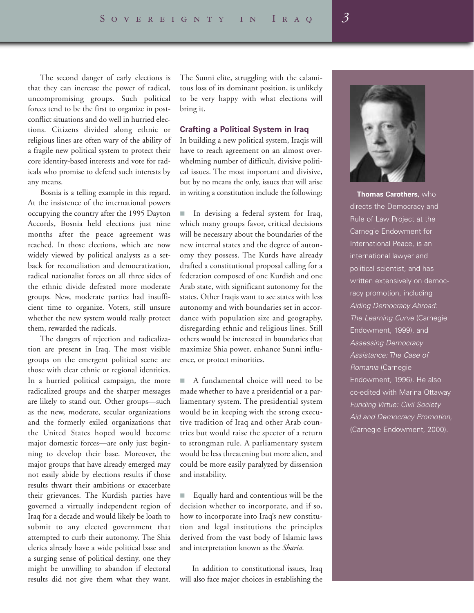The second danger of early elections is that they can increase the power of radical, uncompromising groups. Such political forces tend to be the first to organize in postconflict situations and do well in hurried elections. Citizens divided along ethnic or religious lines are often wary of the ability of a fragile new political system to protect their core identity-based interests and vote for radicals who promise to defend such interests by any means.

Bosnia is a telling example in this regard. At the insistence of the international powers occupying the country after the 1995 Dayton Accords, Bosnia held elections just nine months after the peace agreement was reached. In those elections, which are now widely viewed by political analysts as a setback for reconciliation and democratization, radical nationalist forces on all three sides of the ethnic divide defeated more moderate groups. New, moderate parties had insufficient time to organize. Voters, still unsure whether the new system would really protect them, rewarded the radicals.

The dangers of rejection and radicalization are present in Iraq. The most visible groups on the emergent political scene are those with clear ethnic or regional identities. In a hurried political campaign, the more radicalized groups and the sharper messages are likely to stand out. Other groups—such as the new, moderate, secular organizations and the formerly exiled organizations that the United States hoped would become major domestic forces—are only just beginning to develop their base. Moreover, the major groups that have already emerged may not easily abide by elections results if those results thwart their ambitions or exacerbate their grievances. The Kurdish parties have governed a virtually independent region of Iraq for a decade and would likely be loath to submit to any elected government that attempted to curb their autonomy. The Shia clerics already have a wide political base and a surging sense of political destiny, one they might be unwilling to abandon if electoral results did not give them what they want. The Sunni elite, struggling with the calamitous loss of its dominant position, is unlikely to be very happy with what elections will bring it.

#### **Crafting a Political System in Iraq**

In building a new political system, Iraqis will have to reach agreement on an almost overwhelming number of difficult, divisive political issues. The most important and divisive, but by no means the only, issues that will arise in writing a constitution include the following:

■ In devising a federal system for Iraq, which many groups favor, critical decisions will be necessary about the boundaries of the new internal states and the degree of autonomy they possess. The Kurds have already drafted a constitutional proposal calling for a federation composed of one Kurdish and one Arab state, with significant autonomy for the states. Other Iraqis want to see states with less autonomy and with boundaries set in accordance with population size and geography, disregarding ethnic and religious lines. Still others would be interested in boundaries that maximize Shia power, enhance Sunni influence, or protect minorities.

■ A fundamental choice will need to be made whether to have a presidential or a parliamentary system. The presidential system would be in keeping with the strong executive tradition of Iraq and other Arab countries but would raise the specter of a return to strongman rule. A parliamentary system would be less threatening but more alien, and could be more easily paralyzed by dissension and instability.

■ Equally hard and contentious will be the decision whether to incorporate, and if so, how to incorporate into Iraq's new constitution and legal institutions the principles derived from the vast body of Islamic laws and interpretation known as the *Sharia.*

In addition to constitutional issues, Iraq will also face major choices in establishing the



**Thomas Carothers,** who directs the Democracy and Rule of Law Project at the Carnegie Endowment for International Peace, is an international lawyer and political scientist, and has written extensively on democracy promotion, including *Aiding Democracy Abroad: The Learning Curve* (Carnegie Endowment, 1999), and *Assessing Democracy Assistance: The Case of Romania* (Carnegie Endowment, 1996). He also co-edited with Marina Ottaway *Funding Virtue: Civil Society Aid and Democracy Promotion,* (Carnegie Endowment, 2000).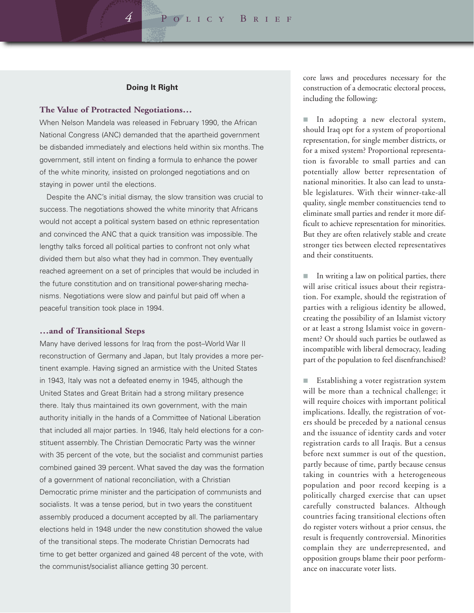*4* Policy Brief

#### **Doing It Right**

#### **The Value of Protracted Negotiations…**

When Nelson Mandela was released in February 1990, the African National Congress (ANC) demanded that the apartheid government be disbanded immediately and elections held within six months. The government, still intent on finding a formula to enhance the power of the white minority, insisted on prolonged negotiations and on staying in power until the elections.

Despite the ANC's initial dismay, the slow transition was crucial to success. The negotiations showed the white minority that Africans would not accept a political system based on ethnic representation and convinced the ANC that a quick transition was impossible. The lengthy talks forced all political parties to confront not only what divided them but also what they had in common. They eventually reached agreement on a set of principles that would be included in the future constitution and on transitional power-sharing mechanisms. Negotiations were slow and painful but paid off when a peaceful transition took place in 1994.

#### **…and of Transitional Steps**

Many have derived lessons for Iraq from the post–World War II reconstruction of Germany and Japan, but Italy provides a more pertinent example. Having signed an armistice with the United States in 1943, Italy was not a defeated enemy in 1945, although the United States and Great Britain had a strong military presence there. Italy thus maintained its own government, with the main authority initially in the hands of a Committee of National Liberation that included all major parties. In 1946, Italy held elections for a constituent assembly. The Christian Democratic Party was the winner with 35 percent of the vote, but the socialist and communist parties combined gained 39 percent. What saved the day was the formation of a government of national reconciliation, with a Christian Democratic prime minister and the participation of communists and socialists. It was a tense period, but in two years the constituent assembly produced a document accepted by all. The parliamentary elections held in 1948 under the new constitution showed the value of the transitional steps. The moderate Christian Democrats had time to get better organized and gained 48 percent of the vote, with the communist/socialist alliance getting 30 percent.

core laws and procedures necessary for the construction of a democratic electoral process, including the following:

In adopting a new electoral system, should Iraq opt for a system of proportional representation, for single member districts, or for a mixed system? Proportional representation is favorable to small parties and can potentially allow better representation of national minorities. It also can lead to unstable legislatures. With their winner-take-all quality, single member constituencies tend to eliminate small parties and render it more difficult to achieve representation for minorities. But they are often relatively stable and create stronger ties between elected representatives and their constituents.

In writing a law on political parties, there will arise critical issues about their registration. For example, should the registration of parties with a religious identity be allowed, creating the possibility of an Islamist victory or at least a strong Islamist voice in government? Or should such parties be outlawed as incompatible with liberal democracy, leading part of the population to feel disenfranchised?

Establishing a voter registration system will be more than a technical challenge; it will require choices with important political implications. Ideally, the registration of voters should be preceded by a national census and the issuance of identity cards and voter registration cards to all Iraqis. But a census before next summer is out of the question, partly because of time, partly because census taking in countries with a heterogeneous population and poor record keeping is a politically charged exercise that can upset carefully constructed balances. Although countries facing transitional elections often do register voters without a prior census, the result is frequently controversial. Minorities complain they are underrepresented, and opposition groups blame their poor performance on inaccurate voter lists.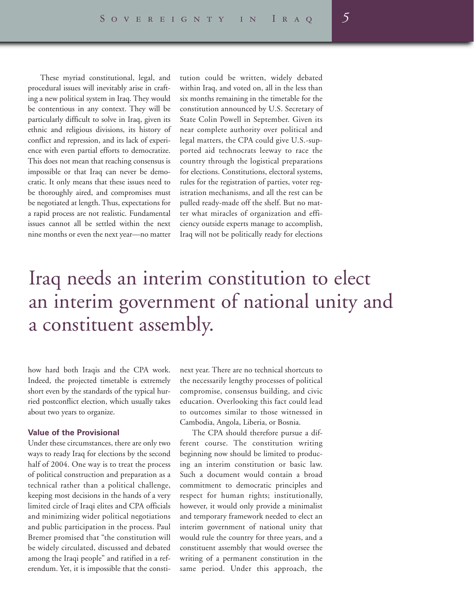These myriad constitutional, legal, and procedural issues will inevitably arise in crafting a new political system in Iraq. They would be contentious in any context. They will be particularly difficult to solve in Iraq, given its ethnic and religious divisions, its history of conflict and repression, and its lack of experience with even partial efforts to democratize. This does not mean that reaching consensus is impossible or that Iraq can never be democratic. It only means that these issues need to be thoroughly aired, and compromises must be negotiated at length. Thus, expectations for a rapid process are not realistic. Fundamental issues cannot all be settled within the next nine months or even the next year—no matter

tution could be written, widely debated within Iraq, and voted on, all in the less than six months remaining in the timetable for the constitution announced by U.S. Secretary of State Colin Powell in September. Given its near complete authority over political and legal matters, the CPA could give U.S.-supported aid technocrats leeway to race the country through the logistical preparations for elections. Constitutions, electoral systems, rules for the registration of parties, voter registration mechanisms, and all the rest can be pulled ready-made off the shelf. But no matter what miracles of organization and efficiency outside experts manage to accomplish, Iraq will not be politically ready for elections

## Iraq needs an interim constitution to elect an interim government of national unity and a constituent assembly.

how hard both Iraqis and the CPA work. Indeed, the projected timetable is extremely short even by the standards of the typical hurried postconflict election, which usually takes about two years to organize.

#### **Value of the Provisional**

Under these circumstances, there are only two ways to ready Iraq for elections by the second half of 2004. One way is to treat the process of political construction and preparation as a technical rather than a political challenge, keeping most decisions in the hands of a very limited circle of Iraqi elites and CPA officials and minimizing wider political negotiations and public participation in the process. Paul Bremer promised that "the constitution will be widely circulated, discussed and debated among the Iraqi people" and ratified in a referendum. Yet, it is impossible that the consti-

next year. There are no technical shortcuts to the necessarily lengthy processes of political compromise, consensus building, and civic education. Overlooking this fact could lead to outcomes similar to those witnessed in Cambodia, Angola, Liberia, or Bosnia.

The CPA should therefore pursue a different course. The constitution writing beginning now should be limited to producing an interim constitution or basic law. Such a document would contain a broad commitment to democratic principles and respect for human rights; institutionally, however, it would only provide a minimalist and temporary framework needed to elect an interim government of national unity that would rule the country for three years, and a constituent assembly that would oversee the writing of a permanent constitution in the same period. Under this approach, the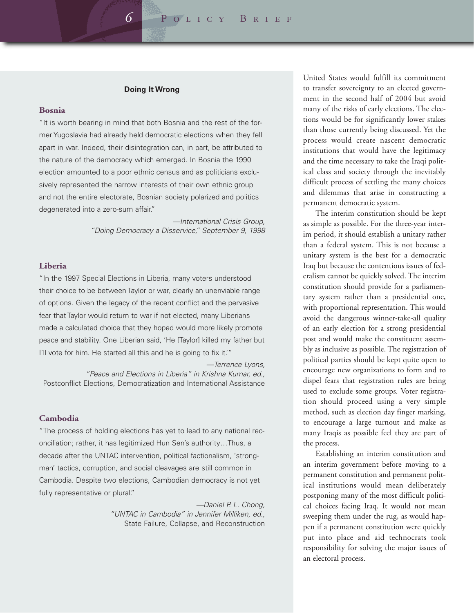#### **Doing It Wrong**

#### **Bosnia**

"It is worth bearing in mind that both Bosnia and the rest of the former Yugoslavia had already held democratic elections when they fell apart in war. Indeed, their disintegration can, in part, be attributed to the nature of the democracy which emerged. In Bosnia the 1990 election amounted to a poor ethnic census and as politicians exclusively represented the narrow interests of their own ethnic group and not the entire electorate, Bosnian society polarized and politics degenerated into a zero-sum affair."

> *—International Crisis Group, "Doing Democracy a Disservice," September 9, 1998*

#### **Liberia**

"In the 1997 Special Elections in Liberia, many voters understood their choice to be between Taylor or war, clearly an unenviable range of options. Given the legacy of the recent conflict and the pervasive fear that Taylor would return to war if not elected, many Liberians made a calculated choice that they hoped would more likely promote peace and stability. One Liberian said, 'He [Taylor] killed my father but I'll vote for him. He started all this and he is going to fix it."

*—Terrence Lyons, "Peace and Elections in Liberia" in Krishna Kumar, ed.,*  Postconflict Elections, Democratization and International Assistance

#### **Cambodia**

"The process of holding elections has yet to lead to any national reconciliation; rather, it has legitimized Hun Sen's authority…Thus, a decade after the UNTAC intervention, political factionalism, 'strongman' tactics, corruption, and social cleavages are still common in Cambodia. Despite two elections, Cambodian democracy is not yet fully representative or plural."

> *—Daniel P. L. Chong, "UNTAC in Cambodia" in Jennifer Milliken, ed.,*  State Failure, Collapse, and Reconstruction

United States would fulfill its commitment to transfer sovereignty to an elected government in the second half of 2004 but avoid many of the risks of early elections. The elections would be for significantly lower stakes than those currently being discussed. Yet the process would create nascent democratic institutions that would have the legitimacy and the time necessary to take the Iraqi political class and society through the inevitably difficult process of settling the many choices and dilemmas that arise in constructing a permanent democratic system.

The interim constitution should be kept as simple as possible. For the three-year interim period, it should establish a unitary rather than a federal system. This is not because a unitary system is the best for a democratic Iraq but because the contentious issues of federalism cannot be quickly solved. The interim constitution should provide for a parliamentary system rather than a presidential one, with proportional representation. This would avoid the dangerous winner-take-all quality of an early election for a strong presidential post and would make the constituent assembly as inclusive as possible. The registration of political parties should be kept quite open to encourage new organizations to form and to dispel fears that registration rules are being used to exclude some groups. Voter registration should proceed using a very simple method, such as election day finger marking, to encourage a large turnout and make as many Iraqis as possible feel they are part of the process.

Establishing an interim constitution and an interim government before moving to a permanent constitution and permanent political institutions would mean deliberately postponing many of the most difficult political choices facing Iraq. It would not mean sweeping them under the rug, as would happen if a permanent constitution were quickly put into place and aid technocrats took responsibility for solving the major issues of an electoral process.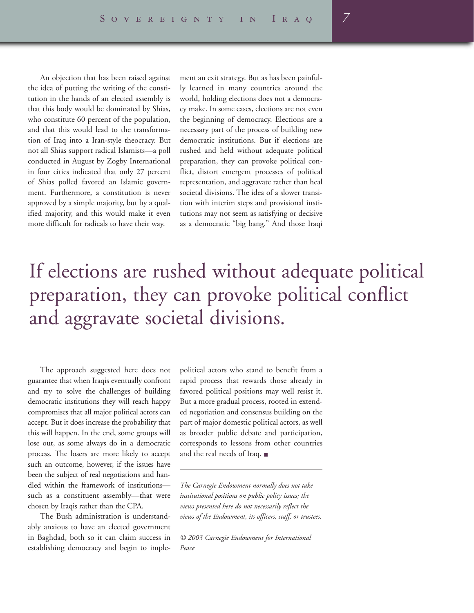An objection that has been raised against the idea of putting the writing of the constitution in the hands of an elected assembly is that this body would be dominated by Shias, who constitute 60 percent of the population, and that this would lead to the transformation of Iraq into a Iran-style theocracy. But not all Shias support radical Islamists—a poll conducted in August by Zogby International in four cities indicated that only 27 percent of Shias polled favored an Islamic government. Furthermore, a constitution is never approved by a simple majority, but by a qualified majority, and this would make it even more difficult for radicals to have their way.

ment an exit strategy. But as has been painfully learned in many countries around the world, holding elections does not a democracy make. In some cases, elections are not even the beginning of democracy. Elections are a necessary part of the process of building new democratic institutions. But if elections are rushed and held without adequate political preparation, they can provoke political conflict, distort emergent processes of political representation, and aggravate rather than heal societal divisions. The idea of a slower transition with interim steps and provisional institutions may not seem as satisfying or decisive as a democratic "big bang." And those Iraqi

## If elections are rushed without adequate political preparation, they can provoke political conflict and aggravate societal divisions.

The approach suggested here does not guarantee that when Iraqis eventually confront and try to solve the challenges of building democratic institutions they will reach happy compromises that all major political actors can accept. But it does increase the probability that this will happen. In the end, some groups will lose out, as some always do in a democratic process. The losers are more likely to accept such an outcome, however, if the issues have been the subject of real negotiations and handled within the framework of institutions such as a constituent assembly—that were chosen by Iraqis rather than the CPA.

The Bush administration is understandably anxious to have an elected government in Baghdad, both so it can claim success in establishing democracy and begin to imple-

political actors who stand to benefit from a rapid process that rewards those already in favored political positions may well resist it. But a more gradual process, rooted in extended negotiation and consensus building on the part of major domestic political actors, as well as broader public debate and participation, corresponds to lessons from other countries and the real needs of Iraq. ■

*The Carnegie Endowment normally does not take institutional positions on public policy issues; the views presented here do not necessarily reflect the views of the Endowment, its officers, staff, or trustees.*

*© 2003 Carnegie Endowment for International Peace*